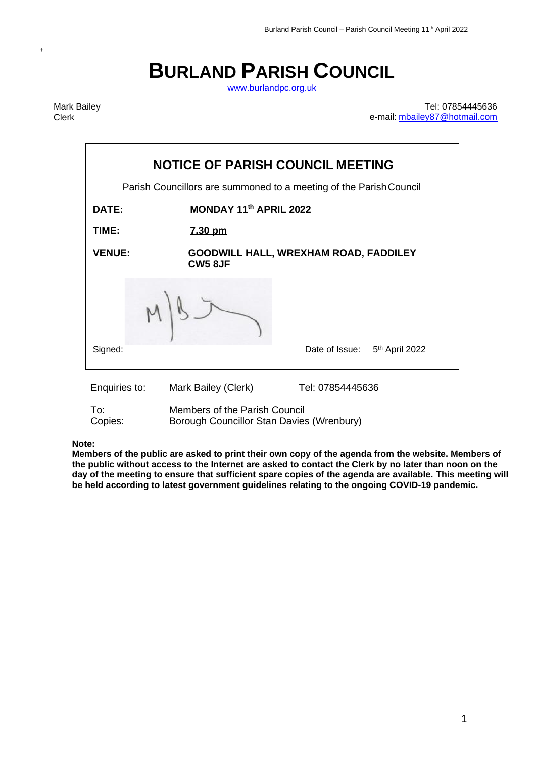# **BURLAND PARISH COUNCIL**

[www.burlandpc.org.uk](http://www.burlandpc.org.uk/)

Mark Bailey Clerk

+

Tel: 07854445636 e-mail: [mbailey87@hotmail.com](mailto:mbailey87@hotmail.com)

| <b>NOTICE OF PARISH COUNCIL MEETING</b>                            |                                                                            |                                       |  |
|--------------------------------------------------------------------|----------------------------------------------------------------------------|---------------------------------------|--|
| Parish Councillors are summoned to a meeting of the Parish Council |                                                                            |                                       |  |
| DATE:                                                              | MONDAY 11th APRIL 2022                                                     |                                       |  |
| TIME:                                                              | <u>7.30 pm</u>                                                             |                                       |  |
| <b>VENUE:</b>                                                      | <b>CW5 8JF</b>                                                             | GOODWILL HALL, WREXHAM ROAD, FADDILEY |  |
|                                                                    |                                                                            |                                       |  |
| Signed:                                                            |                                                                            | Date of Issue: 5th April 2022         |  |
| Enquiries to:                                                      | Mark Bailey (Clerk)                                                        | Tel: 07854445636                      |  |
| To:<br>Copies:                                                     | Members of the Parish Council<br>Borough Councillor Stan Davies (Wrenbury) |                                       |  |

**Note:** 

**Members of the public are asked to print their own copy of the agenda from the website. Members of the public without access to the Internet are asked to contact the Clerk by no later than noon on the day of the meeting to ensure that sufficient spare copies of the agenda are available. This meeting will be held according to latest government guidelines relating to the ongoing COVID-19 pandemic.**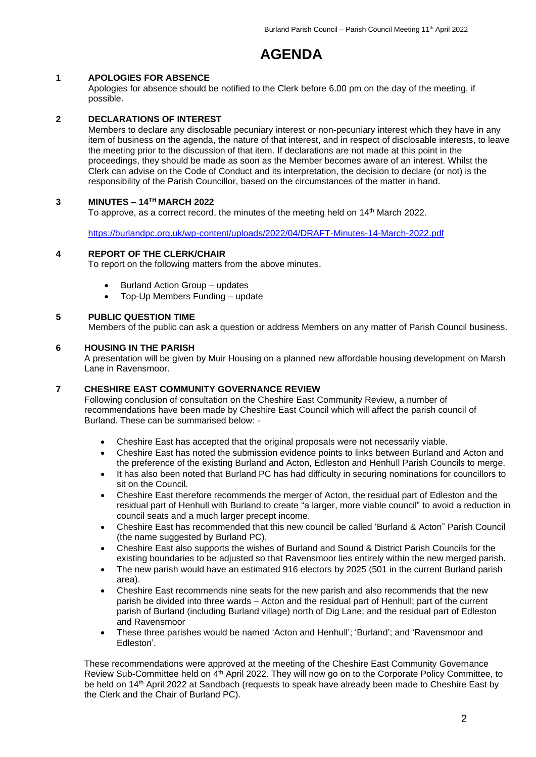# **AGENDA**

# **1 APOLOGIES FOR ABSENCE**

Apologies for absence should be notified to the Clerk before 6.00 pm on the day of the meeting, if possible.

# **2 DECLARATIONS OF INTEREST**

Members to declare any disclosable pecuniary interest or non-pecuniary interest which they have in any item of business on the agenda, the nature of that interest, and in respect of disclosable interests, to leave the meeting prior to the discussion of that item. If declarations are not made at this point in the proceedings, they should be made as soon as the Member becomes aware of an interest. Whilst the Clerk can advise on the Code of Conduct and its interpretation, the decision to declare (or not) is the responsibility of the Parish Councillor, based on the circumstances of the matter in hand.

# **3 MINUTES – 14 TH MARCH 2022**

To approve, as a correct record, the minutes of the meeting held on 14<sup>th</sup> March 2022.

<https://burlandpc.org.uk/wp-content/uploads/2022/04/DRAFT-Minutes-14-March-2022.pdf>

# **4 REPORT OF THE CLERK/CHAIR**

To report on the following matters from the above minutes.

- Burland Action Group updates
- Top-Up Members Funding update

# **5 PUBLIC QUESTION TIME**

Members of the public can ask a question or address Members on any matter of Parish Council business.

#### **6 HOUSING IN THE PARISH**

A presentation will be given by Muir Housing on a planned new affordable housing development on Marsh Lane in Ravensmoor.

# **7 CHESHIRE EAST COMMUNITY GOVERNANCE REVIEW**

Following conclusion of consultation on the Cheshire East Community Review, a number of recommendations have been made by Cheshire East Council which will affect the parish council of Burland. These can be summarised below: -

- Cheshire East has accepted that the original proposals were not necessarily viable.
- Cheshire East has noted the submission evidence points to links between Burland and Acton and the preference of the existing Burland and Acton, Edleston and Henhull Parish Councils to merge.
- It has also been noted that Burland PC has had difficulty in securing nominations for councillors to sit on the Council.
- Cheshire East therefore recommends the merger of Acton, the residual part of Edleston and the residual part of Henhull with Burland to create "a larger, more viable council" to avoid a reduction in council seats and a much larger precept income.
- Cheshire East has recommended that this new council be called 'Burland & Acton" Parish Council (the name suggested by Burland PC).
- Cheshire East also supports the wishes of Burland and Sound & District Parish Councils for the existing boundaries to be adjusted so that Ravensmoor lies entirely within the new merged parish.
- The new parish would have an estimated 916 electors by 2025 (501 in the current Burland parish area).
- Cheshire East recommends nine seats for the new parish and also recommends that the new parish be divided into three wards – Acton and the residual part of Henhull; part of the current parish of Burland (including Burland village) north of Dig Lane; and the residual part of Edleston and Ravensmoor
- These three parishes would be named 'Acton and Henhull'; 'Burland'; and 'Ravensmoor and Edleston'.

These recommendations were approved at the meeting of the Cheshire East Community Governance Review Sub-Committee held on 4<sup>th</sup> April 2022. They will now go on to the Corporate Policy Committee, to be held on 14<sup>th</sup> April 2022 at Sandbach (requests to speak have already been made to Cheshire East by the Clerk and the Chair of Burland PC).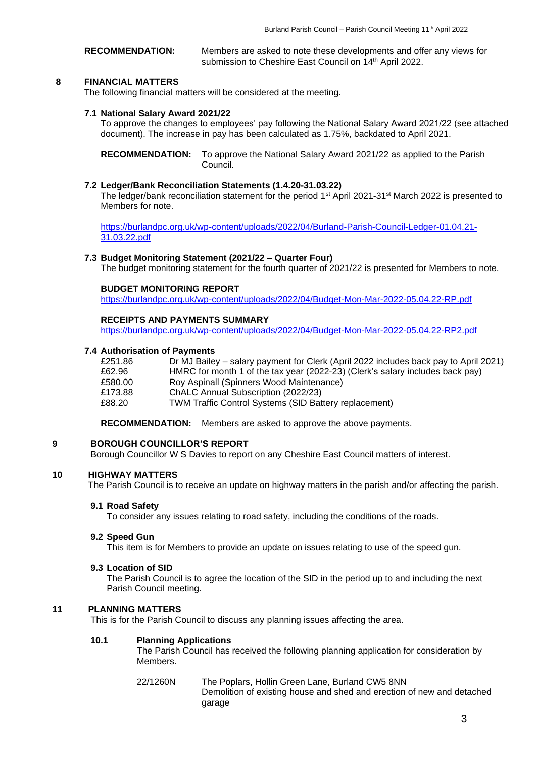**RECOMMENDATION:** Members are asked to note these developments and offer any views for submission to Cheshire East Council on 14th April 2022.

# **8 FINANCIAL MATTERS**

The following financial matters will be considered at the meeting.

# **7.1 National Salary Award 2021/22**

To approve the changes to employees' pay following the National Salary Award 2021/22 (see attached document). The increase in pay has been calculated as 1.75%, backdated to April 2021.

**RECOMMENDATION:** To approve the National Salary Award 2021/22 as applied to the Parish Council.

# **7.2 Ledger/Bank Reconciliation Statements (1.4.20-31.03.22)**

The ledger/bank reconciliation statement for the period 1<sup>st</sup> April 2021-31<sup>st</sup> March 2022 is presented to Members for note.

[https://burlandpc.org.uk/wp-content/uploads/2022/04/Burland-Parish-Council-Ledger-01.04.21-](https://burlandpc.org.uk/wp-content/uploads/2022/04/Burland-Parish-Council-Ledger-01.04.21-31.03.22.pdf) [31.03.22.pdf](https://burlandpc.org.uk/wp-content/uploads/2022/04/Burland-Parish-Council-Ledger-01.04.21-31.03.22.pdf)

# **7.3 Budget Monitoring Statement (2021/22 – Quarter Four)**

The budget monitoring statement for the fourth quarter of 2021/22 is presented for Members to note.

# **BUDGET MONITORING REPORT**

<https://burlandpc.org.uk/wp-content/uploads/2022/04/Budget-Mon-Mar-2022-05.04.22-RP.pdf>

# **RECEIPTS AND PAYMENTS SUMMARY**

<https://burlandpc.org.uk/wp-content/uploads/2022/04/Budget-Mon-Mar-2022-05.04.22-RP2.pdf>

#### **7.4 Authorisation of Payments**

| £251.86 | Dr MJ Bailey – salary payment for Clerk (April 2022 includes back pay to April 2021) |
|---------|--------------------------------------------------------------------------------------|
| £62.96  | HMRC for month 1 of the tax year (2022-23) (Clerk's salary includes back pay)        |
| £580.00 | Roy Aspinall (Spinners Wood Maintenance)                                             |
| £173.88 | ChALC Annual Subscription (2022/23)                                                  |
| £88.20  | <b>TWM Traffic Control Systems (SID Battery replacement)</b>                         |

**RECOMMENDATION:** Members are asked to approve the above payments.

# **9 BOROUGH COUNCILLOR'S REPORT**

Borough Councillor W S Davies to report on any Cheshire East Council matters of interest.

# **10 HIGHWAY MATTERS**

The Parish Council is to receive an update on highway matters in the parish and/or affecting the parish.

# **9.1 Road Safety**

To consider any issues relating to road safety, including the conditions of the roads.

## **9.2 Speed Gun**

This item is for Members to provide an update on issues relating to use of the speed gun.

# **9.3 Location of SID**

The Parish Council is to agree the location of the SID in the period up to and including the next Parish Council meeting.

# **11 PLANNING MATTERS**

This is for the Parish Council to discuss any planning issues affecting the area.

garage

#### **10.1 Planning Applications**

The Parish Council has received the following planning application for consideration by Members.

#### 22/1260N The Poplars, Hollin Green Lane, Burland CW5 8NN Demolition of existing house and shed and erection of new and detached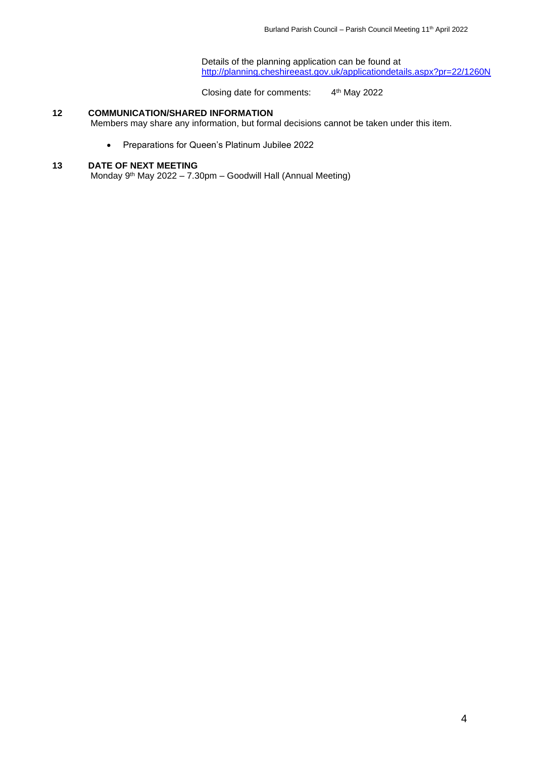Details of the planning application can be found at <http://planning.cheshireeast.gov.uk/applicationdetails.aspx?pr=22/1260N>

Closing date for comments: 4 4<sup>th</sup> May 2022

# **12 COMMUNICATION/SHARED INFORMATION**

Members may share any information, but formal decisions cannot be taken under this item.

• Preparations for Queen's Platinum Jubilee 2022

# **13 DATE OF NEXT MEETING**

Monday 9<sup>th</sup> May 2022 – 7.30pm – Goodwill Hall (Annual Meeting)